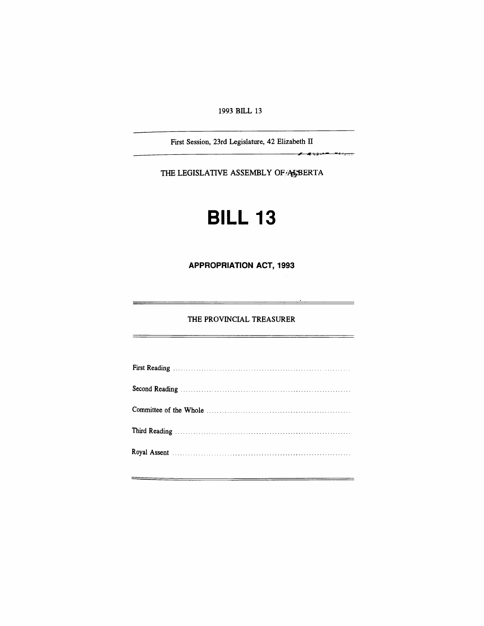#### 1993 BILL 13

First Session, 23rd Legislature, 42 Elizabeth II

 $\overline{\phantom{a} }$ 

THE LEGISLATIVE ASSEMBLY OF A BERTA

# **BILL 13**

**APPROPRIATION ACT, 1993**

#### THE PROVINCIAL TREASURER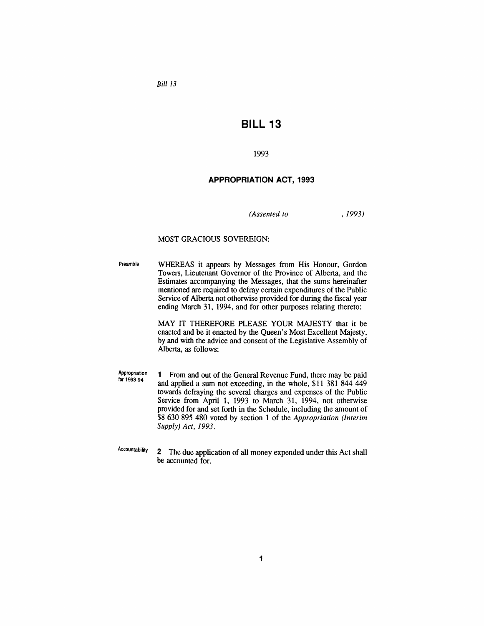*Bill 13*

### **BILL 13**

1993

#### **APPROPRIATION ACT, 1993**

*(Assented to*

,1993)

#### MOST GRACIOUS SOVEREIGN:

Preamble WHEREAS it appears by Messages from His Honour, Gordon Towers, Lieutenant Governor of the Province of Alberta, and the Estimates accompanying the Messages, that the sums hereinafter mentioned are required to defray certain expenditures of the Public Service of Alberta not otherwise provided for during the fiscal year ending March 31, 1994, and for other purposes relating thereto:

> MAY IT THEREFORE PLEASE YOUR MAJESTY that it be enacted and be it enacted by the Queen's Most Excellent Majesty, by and with the advice and consent of the Legislative Assembly of Alberta, as follows:

- Appropriation lor 1993-94 1 From and out of the General Revenue Fund, there may be paid and applied a sum not exceeding, in the whole, \$11 381 844 449 towards defraying the several charges and expenses of the Public Service from April 1, 1993 to March 31, 1994, not otherwise provided for and set forth in the Schedule, including the amount of \$8 630 895 480 voted by section 1 of the *Appropriation (Interim* Supply) *Act,* 1993.
- Accountability 2 The due application of all money expended under this Act shall be accounted for.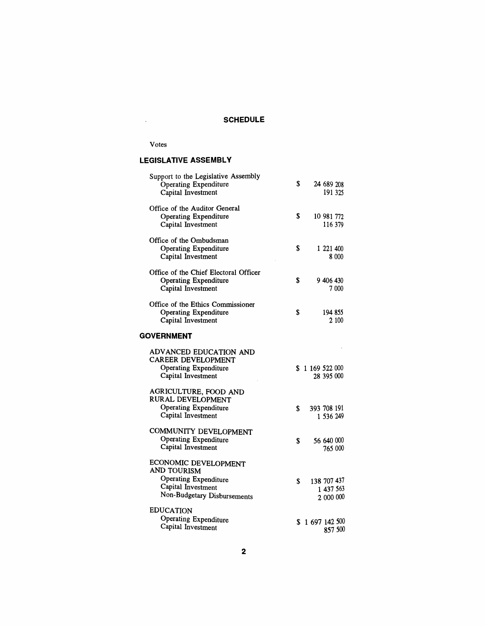## **SCHEDULE**

#### Votes

#### **LEGISLATIVE ASSEMBLY**

| Support to the Legislative Assembly<br>Operating Expenditure<br>Capital Investment                                | \$ |               | 24 689 208             | 191 325 |
|-------------------------------------------------------------------------------------------------------------------|----|---------------|------------------------|---------|
| Office of the Auditor General<br><b>Operating Expenditure</b><br>Capital Investment                               | \$ |               | 10 981 772<br>116 379  |         |
| Office of the Ombudsman<br><b>Operating Expenditure</b><br>Capital Investment                                     | \$ |               | 1 221 400              | 8 000   |
| Office of the Chief Electoral Officer<br><b>Operating Expenditure</b><br>Capital Investment                       | S  |               | 9 406 430              | 7 000   |
| Office of the Ethics Commissioner<br><b>Operating Expenditure</b><br>Capital Investment                           | \$ |               | 194 855                | 2 100   |
| <b>GOVERNMENT</b>                                                                                                 |    |               |                        |         |
| ADVANCED EDUCATION AND<br>CAREER DEVELOPMENT<br><b>Operating Expenditure</b><br>Capital Investment                | \$ | 1 169 522 000 | 28 395 000             |         |
| AGRICULTURE, FOOD AND<br>RURAL DEVELOPMENT<br>Operating Expenditure<br>Capital Investment                         | S  | 393 708 191   | 1 536 249              |         |
| COMMUNITY DEVELOPMENT<br>Operating Expenditure<br>Capital Investment                                              | \$ |               | 56 640 000<br>765 000  |         |
| ECONOMIC DEVELOPMENT<br>AND TOURISM<br>Operating Expenditure<br>Capital Investment<br>Non-Budgetary Disbursements | \$ | 138 707 437   | 1 437 563<br>2 000 000 |         |
| <b>EDUCATION</b><br>Operating Expenditure<br>Capital Investment                                                   |    | \$1697142500  |                        | 857 500 |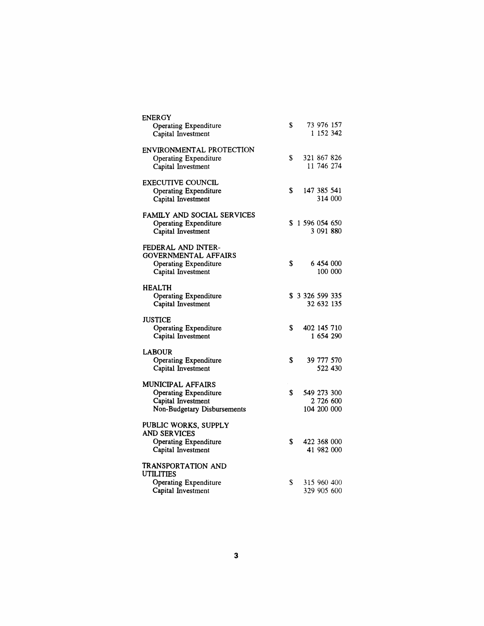| <b>ENERGY</b><br>Operating Expenditure<br>Capital Investment                                                  | \$ |                     | 73 976 157<br>1 152 342                 |         |
|---------------------------------------------------------------------------------------------------------------|----|---------------------|-----------------------------------------|---------|
| ENVIRONMENTAL PROTECTION<br>Operating Expenditure<br>Capital Investment                                       | S  |                     | 321 867 826<br>11 746 274               |         |
| <b>EXECUTIVE COUNCIL</b><br><b>Operating Expenditure</b><br>Capital Investment                                | \$ |                     | 147 385 541                             | 314 000 |
| FAMILY AND SOCIAL SERVICES<br><b>Operating Expenditure</b><br>Capital Investment                              |    | \$1596054650        | 3 091 880                               |         |
| FEDERAL AND INTER-<br><b>GOVERNMENTAL AFFAIRS</b><br><b>Operating Expenditure</b><br>Capital Investment       | \$ |                     | 6 454 000                               | 100 000 |
| <b>HEALTH</b><br>Operating Expenditure<br>Capital Investment                                                  |    | \$ 3 3 26 5 99 3 35 | 32 632 135                              |         |
| <b>JUSTICE</b><br>Operating Expenditure<br>Capital Investment                                                 | \$ |                     | 402 145 710<br>1 654 290                |         |
| <b>LABOUR</b><br><b>Operating Expenditure</b><br>Capital Investment                                           | \$ |                     | 39 777 570                              | 522 430 |
| <b>MUNICIPAL AFFAIRS</b><br><b>Operating Expenditure</b><br>Capital Investment<br>Non-Budgetary Disbursements | S  |                     | 549 273 300<br>2 726 600<br>104 200 000 |         |
| PUBLIC WORKS, SUPPLY<br><b>AND SERVICES</b><br>Operating Expenditure<br>Capital Investment                    | \$ |                     | 422 368 000<br>41 982 000               |         |
| TRANSPORTATION AND<br><b>UTILITIES</b><br>Operating Expenditure<br>Capital Investment                         | S  |                     | 315 960 400<br>329 905 600              |         |
|                                                                                                               |    |                     |                                         |         |